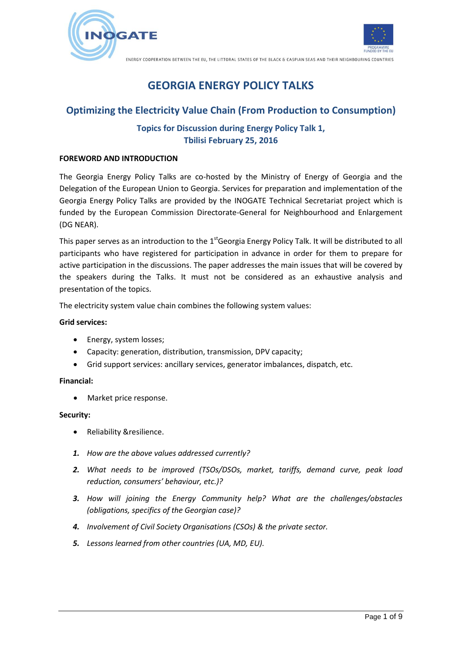



# **GEORGIA ENERGY POLICY TALKS**

# **Optimizing the Electricity Value Chain (From Production to Consumption)**

# **Topics for Discussion during Energy Policy Talk 1, Tbilisi February 25, 2016**

#### **FOREWORD AND INTRODUCTION**

The Georgia Energy Policy Talks are co-hosted by the Ministry of Energy of Georgia and the Delegation of the European Union to Georgia. Services for preparation and implementation of the Georgia Energy Policy Talks are provided by the INOGATE Technical Secretariat project which is funded by the European Commission Directorate-General for Neighbourhood and Enlargement (DG NEAR).

This paper serves as an introduction to the 1<sup>st</sup>Georgia Energy Policy Talk. It will be distributed to all participants who have registered for participation in advance in order for them to prepare for active participation in the discussions. The paper addresses the main issues that will be covered by the speakers during the Talks. It must not be considered as an exhaustive analysis and presentation of the topics.

The electricity system value chain combines the following system values:

#### **Grid services:**

- Energy, system losses;
- Capacity: generation, distribution, transmission, DPV capacity;
- Grid support services: ancillary services, generator imbalances, dispatch, etc.

#### **Financial:**

• Market price response.

#### **Security:**

- Reliability &resilience.
- *1. How are the above values addressed currently?*
- *2. What needs to be improved (TSOs/DSOs, market, tariffs, demand curve, peak load reduction, consumers' behaviour, etc.)?*
- *3. How will joining the Energy Community help? What are the challenges/obstacles (obligations, specifics of the Georgian case)?*
- *4. Involvement of Civil Society Organisations (CSOs) & the private sector.*
- *5. Lessons learned from other countries (UA, MD, EU).*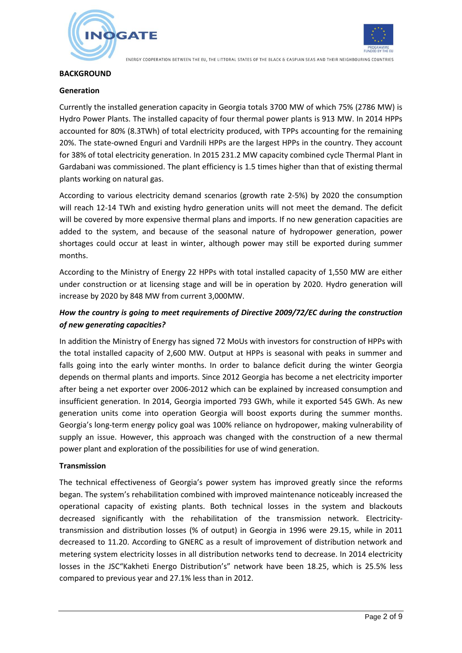



#### **BACKGROUND**

#### **Generation**

Currently the installed generation capacity in Georgia totals 3700 MW of which 75% (2786 MW) is Hydro Power Plants. The installed capacity of four thermal power plants is 913 MW. In 2014 HPPs accounted for 80% (8.3TWh) of total electricity produced, with TPPs accounting for the remaining 20%. The state-owned Enguri and Vardnili HPPs are the largest HPPs in the country. They account for 38% of total electricity generation. In 2015 231.2 MW capacity combined cycle Thermal Plant in Gardabani was commissioned. The plant efficiency is 1.5 times higher than that of existing thermal plants working on natural gas.

According to various electricity demand scenarios (growth rate 2-5%) by 2020 the consumption will reach 12-14 TWh and existing hydro generation units will not meet the demand. The deficit will be covered by more expensive thermal plans and imports. If no new generation capacities are added to the system, and because of the seasonal nature of hydropower generation, power shortages could occur at least in winter, although power may still be exported during summer months.

According to the Ministry of Energy 22 HPPs with total installed capacity of 1,550 MW are either under construction or at licensing stage and will be in operation by 2020. Hydro generation will increase by 2020 by 848 MW from current 3,000MW.

# *How the country is going to meet requirements of Directive 2009/72/EC during the construction of new generating capacities?*

In addition the Ministry of Energy has signed 72 MoUs with investors for construction of HPPs with the total installed capacity of 2,600 MW. Output at HPPs is seasonal with peaks in summer and falls going into the early winter months. In order to balance deficit during the winter Georgia depends on thermal plants and imports. Since 2012 Georgia has become a net electricity importer after being a net exporter over 2006-2012 which can be explained by increased consumption and insufficient generation. In 2014, Georgia imported 793 GWh, while it exported 545 GWh. As new generation units come into operation Georgia will boost exports during the summer months. Georgia's long-term energy policy goal was 100% reliance on hydropower, making vulnerability of supply an issue. However, this approach was changed with the construction of a new thermal power plant and exploration of the possibilities for use of wind generation.

## **Transmission**

The technical effectiveness of Georgia's power system has improved greatly since the reforms began. The system's rehabilitation combined with improved maintenance noticeably increased the operational capacity of existing plants. Both technical losses in the system and blackouts decreased significantly with the rehabilitation of the transmission network. Electricitytransmission and distribution losses (% of output) in Georgia in 1996 were 29.15, while in 2011 decreased to 11.20. According to GNERC as a result of improvement of distribution network and metering system electricity losses in all distribution networks tend to decrease. In 2014 electricity losses in the JSC"Kakheti Energo Distribution's" network have been 18.25, which is 25.5% less compared to previous year and 27.1% less than in 2012.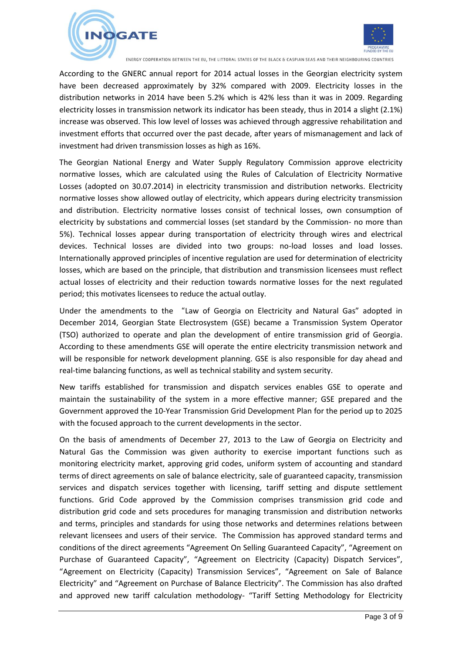



According to the GNERC annual report for 2014 actual losses in the Georgian electricity system have been decreased approximately by 32% compared with 2009. Electricity losses in the distribution networks in 2014 have been 5.2% which is 42% less than it was in 2009. Regarding electricity losses in transmission network its indicator has been steady, thus in 2014 a slight (2.1%) increase was observed. This low level of losses was achieved through aggressive rehabilitation and investment efforts that occurred over the past decade, after years of mismanagement and lack of investment had driven transmission losses as high as 16%.

The Georgian National Energy and Water Supply Regulatory Commission approve electricity normative losses, which are calculated using the Rules of Calculation of Electricity Normative Losses (adopted on 30.07.2014) in electricity transmission and distribution networks. Electricity normative losses show allowed outlay of electricity, which appears during electricity transmission and distribution. Electricity normative losses consist of technical losses, own consumption of electricity by substations and commercial losses (set standard by the Commission- no more than 5%). Technical losses appear during transportation of electricity through wires and electrical devices. Technical losses are divided into two groups: no-load losses and load losses. Internationally approved principles of incentive regulation are used for determination of electricity losses, which are based on the principle, that distribution and transmission licensees must reflect actual losses of electricity and their reduction towards normative losses for the next regulated period; this motivates licensees to reduce the actual outlay.

Under the amendments to the "Law of Georgia on Electricity and Natural Gas" adopted in December 2014, Georgian State Electrosystem (GSE) became a Transmission System Operator (TSO) authorized to operate and plan the development of entire transmission grid of Georgia. According to these amendments GSE will operate the entire electricity transmission network and will be responsible for network development planning. GSE is also responsible for day ahead and real-time balancing functions, as well as technical stability and system security.

New tariffs established for transmission and dispatch services enables GSE to operate and maintain the sustainability of the system in a more effective manner; GSE prepared and the Government approved the 10-Year Transmission Grid Development Plan for the period up to 2025 with the focused approach to the current developments in the sector.

On the basis of amendments of December 27, 2013 to the Law of Georgia on Electricity and Natural Gas the Commission was given authority to exercise important functions such as monitoring electricity market, approving grid codes, uniform system of accounting and standard terms of direct agreements on sale of balance electricity, sale of guaranteed capacity, transmission services and dispatch services together with licensing, tariff setting and dispute settlement functions. Grid Code approved by the Commission comprises transmission grid code and distribution grid code and sets procedures for managing transmission and distribution networks and terms, principles and standards for using those networks and determines relations between relevant licensees and users of their service. The Commission has approved standard terms and conditions of the direct agreements "Agreement On Selling Guaranteed Capacity", "Agreement on Purchase of Guaranteed Capacity", "Agreement on Electricity (Capacity) Dispatch Services", "Agreement on Electricity (Capacity) Transmission Services", "Agreement on Sale of Balance Electricity" and "Agreement on Purchase of Balance Electricity". The Commission has also drafted and approved new tariff calculation methodology- "Tariff Setting Methodology for Electricity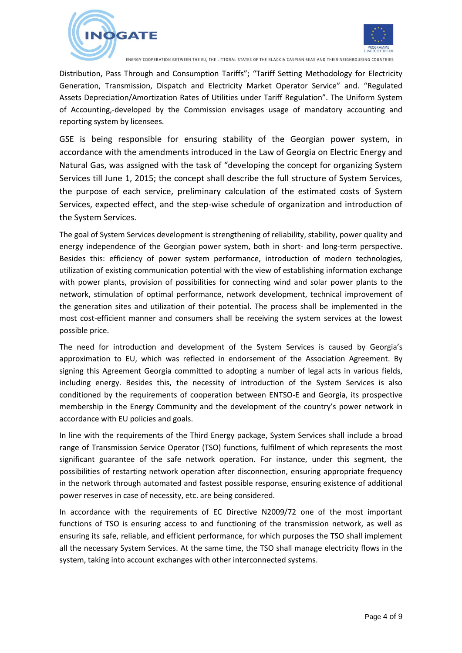



Distribution, Pass Through and Consumption Tariffs"; "Tariff Setting Methodology for Electricity Generation, Transmission, Dispatch and Electricity Market Operator Service" and. "Regulated Assets Depreciation/Amortization Rates of Utilities under Tariff Regulation". The Uniform System of Accounting,-developed by the Commission envisages usage of mandatory accounting and reporting system by licensees.

GSE is being responsible for ensuring stability of the Georgian power system, in accordance with the amendments introduced in the Law of Georgia on Electric Energy and Natural Gas, was assigned with the task of "developing the concept for organizing System Services till June 1, 2015; the concept shall describe the full structure of System Services, the purpose of each service, preliminary calculation of the estimated costs of System Services, expected effect, and the step-wise schedule of organization and introduction of the System Services.

The goal of System Services development is strengthening of reliability, stability, power quality and energy independence of the Georgian power system, both in short- and long-term perspective. Besides this: efficiency of power system performance, introduction of modern technologies, utilization of existing communication potential with the view of establishing information exchange with power plants, provision of possibilities for connecting wind and solar power plants to the network, stimulation of optimal performance, network development, technical improvement of the generation sites and utilization of their potential. The process shall be implemented in the most cost-efficient manner and consumers shall be receiving the system services at the lowest possible price.

The need for introduction and development of the System Services is caused by Georgia's approximation to EU, which was reflected in endorsement of the Association Agreement. By signing this Agreement Georgia committed to adopting a number of legal acts in various fields, including energy. Besides this, the necessity of introduction of the System Services is also conditioned by the requirements of cooperation between ENTSO-E and Georgia, its prospective membership in the Energy Community and the development of the country's power network in accordance with EU policies and goals.

In line with the requirements of the Third Energy package, System Services shall include a broad range of Transmission Service Operator (TSO) functions, fulfilment of which represents the most significant guarantee of the safe network operation. For instance, under this segment, the possibilities of restarting network operation after disconnection, ensuring appropriate frequency in the network through automated and fastest possible response, ensuring existence of additional power reserves in case of necessity, etc. are being considered.

In accordance with the requirements of EC Directive N2009/72 one of the most important functions of TSO is ensuring access to and functioning of the transmission network, as well as ensuring its safe, reliable, and efficient performance, for which purposes the TSO shall implement all the necessary System Services. At the same time, the TSO shall manage electricity flows in the system, taking into account exchanges with other interconnected systems.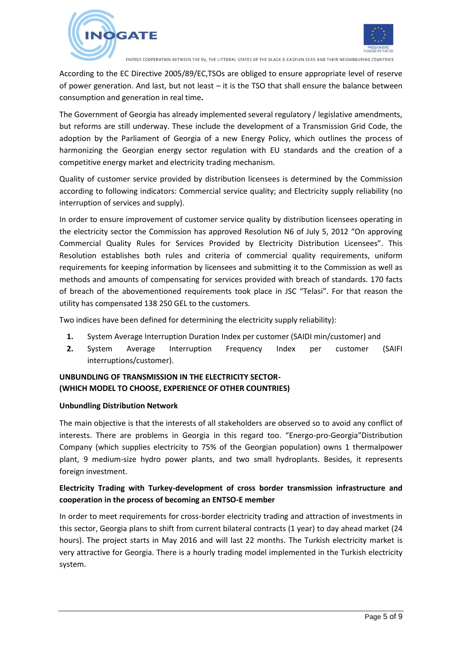



According to the EC Directive 2005/89/EC,TSOs are obliged to ensure appropriate level of reserve of power generation. And last, but not least – it is the TSO that shall ensure the balance between consumption and generation in real time**.**

The Government of Georgia has already implemented several regulatory / legislative amendments, but reforms are still underway. These include the development of a Transmission Grid Code, the adoption by the Parliament of Georgia of a new Energy Policy, which outlines the process of harmonizing the Georgian energy sector regulation with EU standards and the creation of a competitive energy market and electricity trading mechanism.

Quality of customer service provided by distribution licensees is determined by the Commission according to following indicators: Commercial service quality; and Electricity supply reliability (no interruption of services and supply).

In order to ensure improvement of customer service quality by distribution licensees operating in the electricity sector the Commission has approved Resolution N6 of July 5, 2012 "On approving Commercial Quality Rules for Services Provided by Electricity Distribution Licensees". This Resolution establishes both rules and criteria of commercial quality requirements, uniform requirements for keeping information by licensees and submitting it to the Commission as well as methods and amounts of compensating for services provided with breach of standards. 170 facts of breach of the abovementioned requirements took place in JSC "Telasi". For that reason the utility has compensated 138 250 GEL to the customers.

Two indices have been defined for determining the electricity supply reliability):

- **1.** System Average Interruption Duration Index per customer (SAIDI min/customer) and
- **2.** System Average Interruption Frequency Index per customer (SAIFI interruptions/customer).

# **UNBUNDLING OF TRANSMISSION IN THE ELECTRICITY SECTOR- (WHICH MODEL TO CHOOSE, EXPERIENCE OF OTHER COUNTRIES)**

#### **Unbundling Distribution Network**

The main objective is that the interests of all stakeholders are observed so to avoid any conflict of interests. There are problems in Georgia in this regard too. "Energo-pro-Georgia"Distribution Company (which supplies electricity to 75% of the Georgian population) owns 1 thermalpower plant, 9 medium-size hydro power plants, and two small hydroplants. Besides, it represents foreign investment.

# **Electricity Trading with Turkey-development of cross border transmission infrastructure and cooperation in the process of becoming an ENTSO-E member**

In order to meet requirements for cross-border electricity trading and attraction of investments in this sector, Georgia plans to shift from current bilateral contracts (1 year) to day ahead market (24 hours). The project starts in May 2016 and will last 22 months. The Turkish electricity market is very attractive for Georgia. There is a hourly trading model implemented in the Turkish electricity system.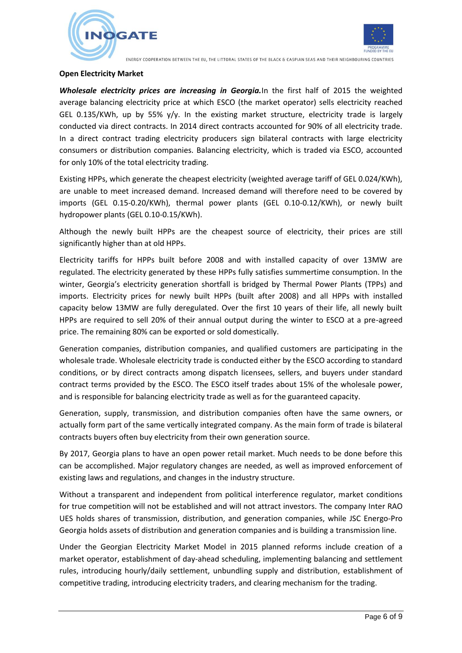



#### **Open Electricity Market**

*Wholesale electricity prices are increasing in Georgia.*In the first half of 2015 the weighted average balancing electricity price at which ESCO (the market operator) sells electricity reached GEL 0.135/KWh, up by 55% y/y. In the existing market structure, electricity trade is largely conducted via direct contracts. In 2014 direct contracts accounted for 90% of all electricity trade. In a direct contract trading electricity producers sign bilateral contracts with large electricity consumers or distribution companies. Balancing electricity, which is traded via ESCO, accounted for only 10% of the total electricity trading.

Existing HPPs, which generate the cheapest electricity (weighted average tariff of GEL 0.024/KWh), are unable to meet increased demand. Increased demand will therefore need to be covered by imports (GEL 0.15-0.20/KWh), thermal power plants (GEL 0.10-0.12/KWh), or newly built hydropower plants (GEL 0.10-0.15/KWh).

Although the newly built HPPs are the cheapest source of electricity, their prices are still significantly higher than at old HPPs.

Electricity tariffs for HPPs built before 2008 and with installed capacity of over 13MW are regulated. The electricity generated by these HPPs fully satisfies summertime consumption. In the winter, Georgia's electricity generation shortfall is bridged by Thermal Power Plants (TPPs) and imports. Electricity prices for newly built HPPs (built after 2008) and all HPPs with installed capacity below 13MW are fully deregulated. Over the first 10 years of their life, all newly built HPPs are required to sell 20% of their annual output during the winter to ESCO at a pre-agreed price. The remaining 80% can be exported or sold domestically.

Generation companies, distribution companies, and qualified customers are participating in the wholesale trade. Wholesale electricity trade is conducted either by the ESCO according to standard conditions, or by direct contracts among dispatch licensees, sellers, and buyers under standard contract terms provided by the ESCO. The ESCO itself trades about 15% of the wholesale power, and is responsible for balancing electricity trade as well as for the guaranteed capacity.

Generation, supply, transmission, and distribution companies often have the same owners, or actually form part of the same vertically integrated company. As the main form of trade is bilateral contracts buyers often buy electricity from their own generation source.

By 2017, Georgia plans to have an open power retail market. Much needs to be done before this can be accomplished. Major regulatory changes are needed, as well as improved enforcement of existing laws and regulations, and changes in the industry structure.

Without a transparent and independent from political interference regulator, market conditions for true competition will not be established and will not attract investors. The company Inter RAO UES holds shares of transmission, distribution, and generation companies, while JSC Energo-Pro Georgia holds assets of distribution and generation companies and is building a transmission line.

Under the Georgian Electricity Market Model in 2015 planned reforms include creation of a market operator, establishment of day-ahead scheduling, implementing balancing and settlement rules, introducing hourly/daily settlement, unbundling supply and distribution, establishment of competitive trading, introducing electricity traders, and clearing mechanism for the trading.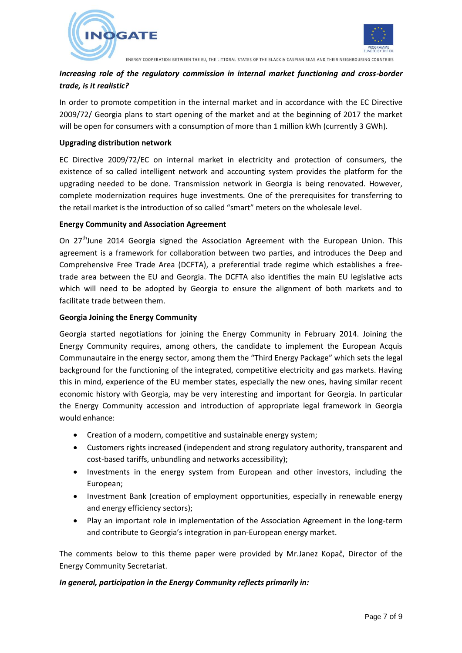



# *Increasing role of the regulatory commission in internal market functioning and cross-border trade, is it realistic?*

In order to promote competition in the internal market and in accordance with the EC Directive 2009/72/ Georgia plans to start opening of the market and at the beginning of 2017 the market will be open for consumers with a consumption of more than 1 million kWh (currently 3 GWh).

#### **Upgrading distribution network**

EC Directive 2009/72/EC on internal market in electricity and protection of consumers, the existence of so called intelligent network and accounting system provides the platform for the upgrading needed to be done. Transmission network in Georgia is being renovated. However, complete modernization requires huge investments. One of the prerequisites for transferring to the retail market is the introduction of so called "smart" meters on the wholesale level.

#### **Energy Community and Association Agreement**

On 27<sup>th</sup>June 2014 Georgia signed the Association Agreement with the European Union. This agreement is a framework for collaboration between two parties, and introduces the Deep and Comprehensive Free Trade Area (DCFTA), a preferential trade regime which establishes a freetrade area between the EU and Georgia. The DCFTA also identifies the main EU legislative acts which will need to be adopted by Georgia to ensure the alignment of both markets and to facilitate trade between them.

#### **Georgia Joining the Energy Community**

Georgia started negotiations for joining the Energy Community in February 2014. Joining the Energy Community requires, among others, the candidate to implement the European Acquis Communautaire in the energy sector, among them the "Third Energy Package" which sets the legal background for the functioning of the integrated, competitive electricity and gas markets. Having this in mind, experience of the EU member states, especially the new ones, having similar recent economic history with Georgia, may be very interesting and important for Georgia. In particular the Energy Community accession and introduction of appropriate legal framework in Georgia would enhance:

- Creation of a modern, competitive and sustainable energy system;
- Customers rights increased (independent and strong regulatory authority, transparent and cost-based tariffs, unbundling and networks accessibility);
- Investments in the energy system from European and other investors, including the European;
- Investment Bank (creation of employment opportunities, especially in renewable energy and energy efficiency sectors);
- Play an important role in implementation of the Association Agreement in the long-term and contribute to Georgia's integration in pan-European energy market.

The comments below to this theme paper were provided by Mr.Janez Kopač, Director of the Energy Community Secretariat.

## *In general, participation in the Energy Community reflects primarily in:*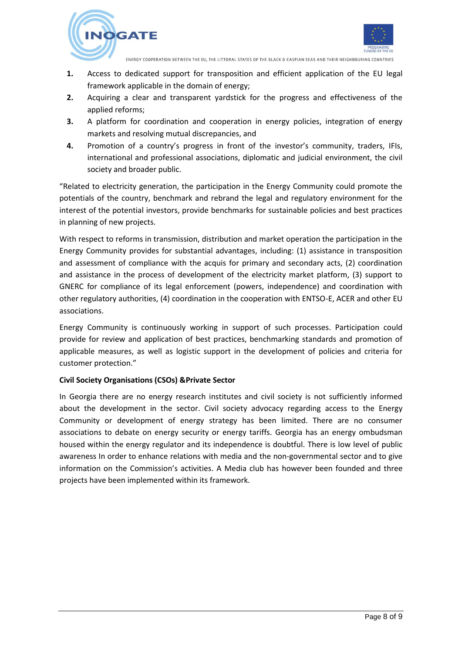



- **1.** Access to dedicated support for transposition and efficient application of the EU legal framework applicable in the domain of energy;
- **2.** Acquiring a clear and transparent yardstick for the progress and effectiveness of the applied reforms;
- **3.** A platform for coordination and cooperation in energy policies, integration of energy markets and resolving mutual discrepancies, and
- **4.** Promotion of a country's progress in front of the investor's community, traders, IFIs, international and professional associations, diplomatic and judicial environment, the civil society and broader public.

"Related to electricity generation, the participation in the Energy Community could promote the potentials of the country, benchmark and rebrand the legal and regulatory environment for the interest of the potential investors, provide benchmarks for sustainable policies and best practices in planning of new projects.

With respect to reforms in transmission, distribution and market operation the participation in the Energy Community provides for substantial advantages, including: (1) assistance in transposition and assessment of compliance with the acquis for primary and secondary acts, (2) coordination and assistance in the process of development of the electricity market platform, (3) support to GNERC for compliance of its legal enforcement (powers, independence) and coordination with other regulatory authorities, (4) coordination in the cooperation with ENTSO-E, ACER and other EU associations.

Energy Community is continuously working in support of such processes. Participation could provide for review and application of best practices, benchmarking standards and promotion of applicable measures, as well as logistic support in the development of policies and criteria for customer protection."

#### **Civil Society Organisations (CSOs) &Private Sector**

In Georgia there are no energy research institutes and civil society is not sufficiently informed about the development in the sector. Civil society advocacy regarding access to the Energy Community or development of energy strategy has been limited. There are no consumer associations to debate on energy security or energy tariffs. Georgia has an energy ombudsman housed within the energy regulator and its independence is doubtful. There is low level of public awareness In order to enhance relations with media and the non-governmental sector and to give information on the Commission's activities. A Media club has however been founded and three projects have been implemented within its framework.